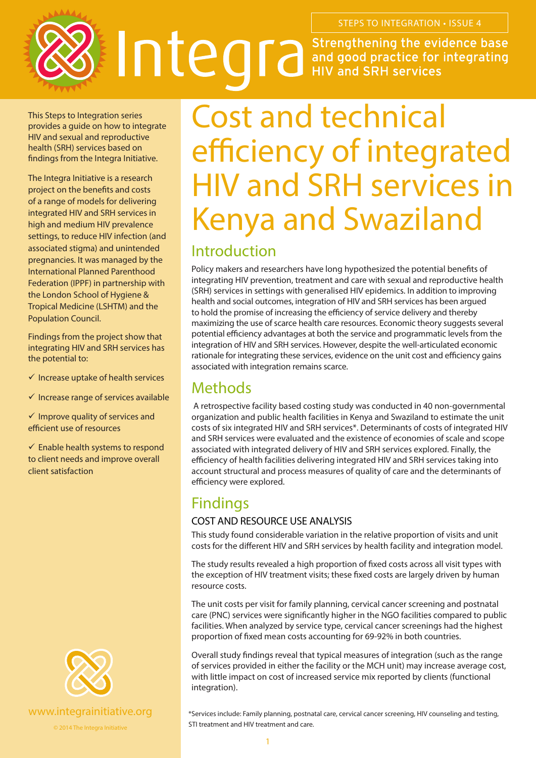

This Steps to Integration series provides a guide on how to integrate HIV and sexual and reproductive health (SRH) services based on findings from the Integra Initiative.

The Integra Initiative is a research project on the benefits and costs of a range of models for delivering integrated HIV and SRH services in high and medium HIV prevalence settings, to reduce HIV infection (and associated stigma) and unintended pregnancies. It was managed by the International Planned Parenthood Federation (IPPF) in partnership with the London School of Hygiene & Tropical Medicine (LSHTM) and the Population Council.

Findings from the project show that integrating HIV and SRH services has the potential to:

- $\checkmark$  Increase uptake of health services
- $\checkmark$  Increase range of services available

 $\checkmark$  Improve quality of services and efficient use of resources

 $\checkmark$  Enable health systems to respond to client needs and improve overall client satisfaction



© 2014 The Integra Initiative

# Cost and technical efficiency of integrated HIV and SRH services in Kenya and Swaziland

## Introduction

Policy makers and researchers have long hypothesized the potential benefits of integrating HIV prevention, treatment and care with sexual and reproductive health (SRH) services in settings with generalised HIV epidemics. In addition to improving health and social outcomes, integration of HIV and SRH services has been argued to hold the promise of increasing the efficiency of service delivery and thereby maximizing the use of scarce health care resources. Economic theory suggests several potential efficiency advantages at both the service and programmatic levels from the integration of HIV and SRH services. However, despite the well-articulated economic rationale for integrating these services, evidence on the unit cost and efficiency gains associated with integration remains scarce.

## Methods

 A retrospective facility based costing study was conducted in 40 non-governmental organization and public health facilities in Kenya and Swaziland to estimate the unit costs of six integrated HIV and SRH services\*. Determinants of costs of integrated HIV and SRH services were evaluated and the existence of economies of scale and scope associated with integrated delivery of HIV and SRH services explored. Finally, the efficiency of health facilities delivering integrated HIV and SRH services taking into account structural and process measures of quality of care and the determinants of efficiency were explored.

### Findings

#### COST AND RESOURCE USE ANALYSIS

This study found considerable variation in the relative proportion of visits and unit costs for the different HIV and SRH services by health facility and integration model.

The study results revealed a high proportion of fixed costs across all visit types with the exception of HIV treatment visits; these fixed costs are largely driven by human resource costs.

The unit costs per visit for family planning, cervical cancer screening and postnatal care (PNC) services were significantly higher in the NGO facilities compared to public facilities. When analyzed by service type, cervical cancer screenings had the highest proportion of fixed mean costs accounting for 69-92% in both countries.

Overall study findings reveal that typical measures of integration (such as the range of services provided in either the facility or the MCH unit) may increase average cost, with little impact on cost of increased service mix reported by clients (functional integration).

\*Services include: Family planning, postnatal care, cervical cancer screening, HIV counseling and testing, STI treatment and HIV treatment and care.